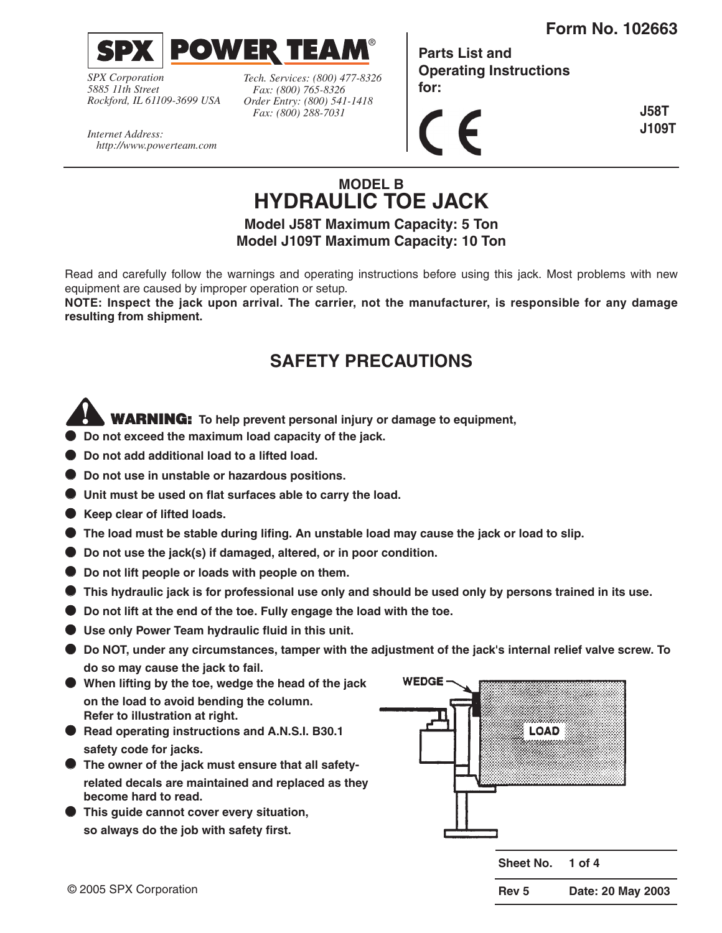

*SPX Corporation 5885 11th Street Rockford, IL 61109-3699 USA* *Tech. Services: (800) 477-8326 Fax: (800) 765-8326 Order Entry: (800) 541-1418 Fax: (800) 288-7031*

 $\Rightarrow$ 

**Parts List and Operating Instructions for:**

**J58T**  $\epsilon$ **J109T**

*Internet Address: http://www.powerteam.com*

# **MODEL B HYDRAULIC TOE JACK**

®

**Model J58T Maximum Capacity: 5 Ton Model J109T Maximum Capacity: 10 Ton**

Read and carefully follow the warnings and operating instructions before using this jack. Most problems with new equipment are caused by improper operation or setup.

**NOTE: Inspect the jack upon arrival. The carrier, not the manufacturer, is responsible for any damage resulting from shipment.**

# **SAFETY PRECAUTIONS**

# **WARNING: To help prevent personal injury or damage to equipment,**

- **Do not exceed the maximum load capacity of the jack.**
- **Do not add additional load to a lifted load.**
- Do not use in unstable or hazardous positions.
- **Unit must be used on flat surfaces able to carry the load.**
- **Keep clear of lifted loads.**
- The load must be stable during lifing. An unstable load may cause the jack or load to slip.
- **Do not use the jack(s) if damaged, altered, or in poor condition.**
- **Do not lift people or loads with people on them.**
- **This hydraulic jack is for professional use only and should be used only by persons trained in its use.**
- **Do not lift at the end of the toe. Fully engage the load with the toe.**
- **Use only Power Team hydraulic fluid in this unit.**
- **Do NOT, under any circumstances, tamper with the adjustment of the jack's internal relief valve screw. To do so may cause the jack to fail.**
- **When lifting by the toe, wedge the head of the jack on the load to avoid bending the column. Refer to illustration at right.**
- **Read operating instructions and A.N.S.I. B30.1 safety code for jacks.**
- **The owner of the jack must ensure that all safetyrelated decals are maintained and replaced as they become hard to read.**
- **This guide cannot cover every situation, so always do the job with safety first.**

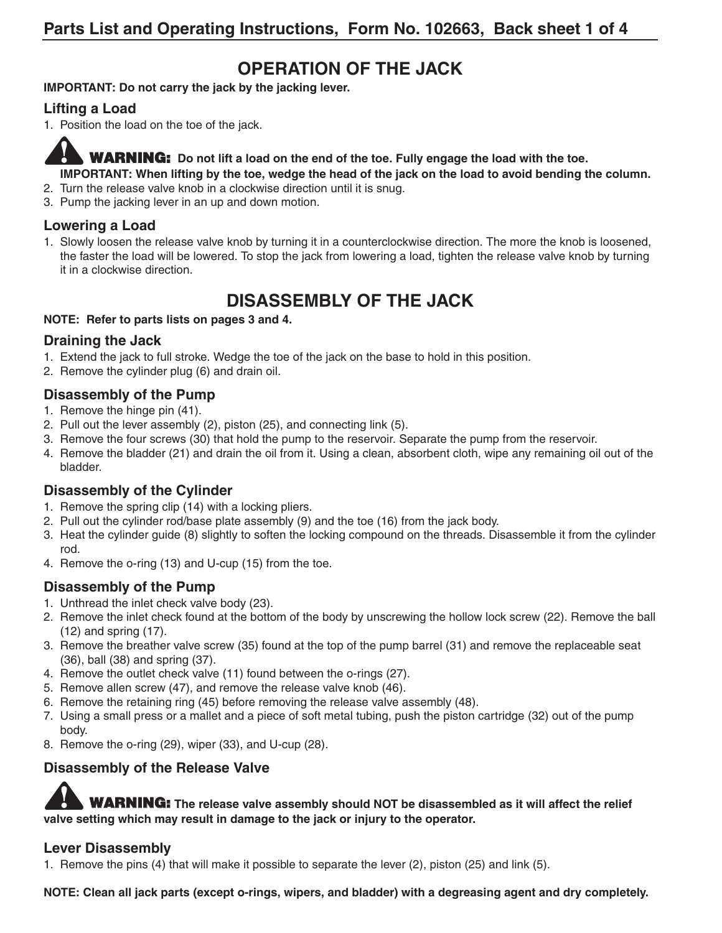# **OPERATION OF THE JACK**

#### **IMPORTANT: Do not carry the jack by the jacking lever.**

### **Lifting a Load**

1. Position the load on the toe of the jack.

**WARNING: Do not lift a load on the end of the toe. Fully engage the load with the toe. IMPORTANT: When lifting by the toe, wedge the head of the jack on the load to avoid bending the column.**

- 2. Turn the release valve knob in a clockwise direction until it is snug.
- 3. Pump the jacking lever in an up and down motion.

### **Lowering a Load**

1. Slowly loosen the release valve knob by turning it in a counterclockwise direction. The more the knob is loosened, the faster the load will be lowered. To stop the jack from lowering a load, tighten the release valve knob by turning it in a clockwise direction.

# **DISASSEMBLY OF THE JACK**

#### **NOTE: Refer to parts lists on pages 3 and 4.**

### **Draining the Jack**

- 1. Extend the jack to full stroke. Wedge the toe of the jack on the base to hold in this position.
- 2. Remove the cylinder plug (6) and drain oil.

### **Disassembly of the Pump**

- 1. Remove the hinge pin (41).
- 2. Pull out the lever assembly (2), piston (25), and connecting link (5).
- 3. Remove the four screws (30) that hold the pump to the reservoir. Separate the pump from the reservoir.
- 4. Remove the bladder (21) and drain the oil from it. Using a clean, absorbent cloth, wipe any remaining oil out of the bladder.

### **Disassembly of the Cylinder**

- 1. Remove the spring clip (14) with a locking pliers.
- 2. Pull out the cylinder rod/base plate assembly (9) and the toe (16) from the jack body.
- 3. Heat the cylinder guide (8) slightly to soften the locking compound on the threads. Disassemble it from the cylinder rod.
- 4. Remove the o-ring (13) and U-cup (15) from the toe.

### **Disassembly of the Pump**

- 1. Unthread the inlet check valve body (23).
- 2. Remove the inlet check found at the bottom of the body by unscrewing the hollow lock screw (22). Remove the ball (12) and spring (17).
- 3. Remove the breather valve screw (35) found at the top of the pump barrel (31) and remove the replaceable seat (36), ball (38) and spring (37).
- 4. Remove the outlet check valve (11) found between the o-rings (27).
- 5. Remove allen screw (47), and remove the release valve knob (46).
- 6. Remove the retaining ring (45) before removing the release valve assembly (48).
- 7. Using a small press or a mallet and a piece of soft metal tubing, push the piston cartridge (32) out of the pump body.
- 8. Remove the o-ring (29), wiper (33), and U-cup (28).

### **Disassembly of the Release Valve**

**WARNING: The release valve assembly should NOT be disassembled as it will affect the relief valve setting which may result in damage to the jack or injury to the operator.**

### **Lever Disassembly**

1. Remove the pins (4) that will make it possible to separate the lever (2), piston (25) and link (5).

**NOTE: Clean all jack parts (except o-rings, wipers, and bladder) with a degreasing agent and dry completely.**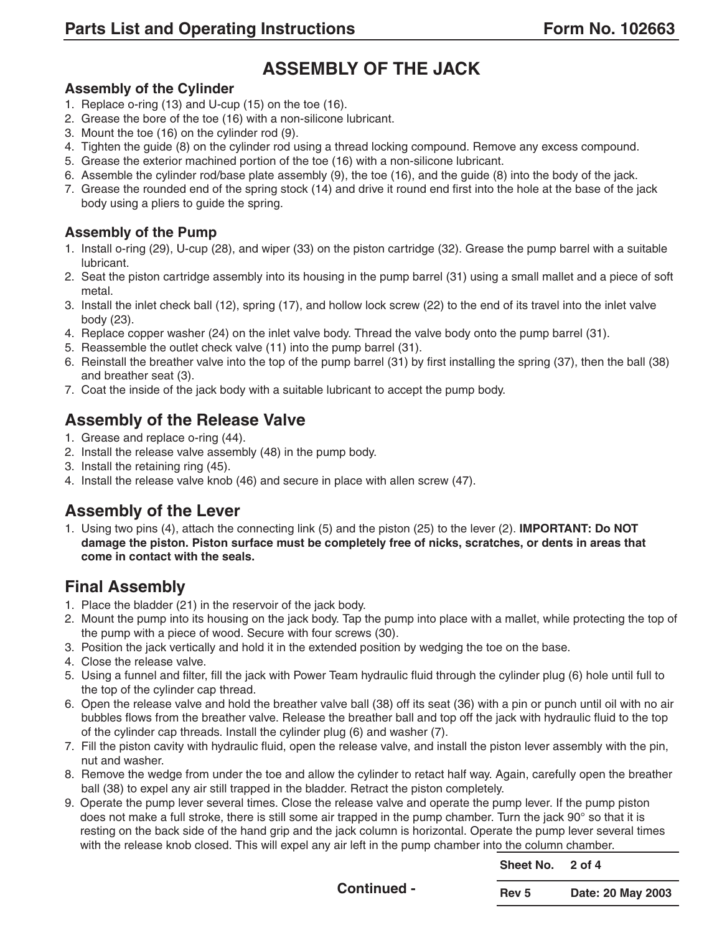# **ASSEMBLY OF THE JACK**

### **Assembly of the Cylinder**

- 1. Replace o-ring (13) and U-cup (15) on the toe (16).
- 2. Grease the bore of the toe (16) with a non-silicone lubricant.
- 3. Mount the toe (16) on the cylinder rod (9).
- 4. Tighten the guide (8) on the cylinder rod using a thread locking compound. Remove any excess compound.
- 5. Grease the exterior machined portion of the toe (16) with a non-silicone lubricant.
- 6. Assemble the cylinder rod/base plate assembly (9), the toe (16), and the guide (8) into the body of the jack.
- 7. Grease the rounded end of the spring stock (14) and drive it round end first into the hole at the base of the jack body using a pliers to guide the spring.

### **Assembly of the Pump**

- 1. Install o-ring (29), U-cup (28), and wiper (33) on the piston cartridge (32). Grease the pump barrel with a suitable lubricant.
- 2. Seat the piston cartridge assembly into its housing in the pump barrel (31) using a small mallet and a piece of soft metal.
- 3. Install the inlet check ball (12), spring (17), and hollow lock screw (22) to the end of its travel into the inlet valve body (23).
- 4. Replace copper washer (24) on the inlet valve body. Thread the valve body onto the pump barrel (31).
- 5. Reassemble the outlet check valve (11) into the pump barrel (31).
- 6. Reinstall the breather valve into the top of the pump barrel (31) by first installing the spring (37), then the ball (38) and breather seat (3).
- 7. Coat the inside of the jack body with a suitable lubricant to accept the pump body.

## **Assembly of the Release Valve**

- 1. Grease and replace o-ring (44).
- 2. Install the release valve assembly (48) in the pump body.
- 3. Install the retaining ring (45).
- 4. Install the release valve knob (46) and secure in place with allen screw (47).

## **Assembly of the Lever**

1. Using two pins (4), attach the connecting link (5) and the piston (25) to the lever (2). **IMPORTANT: Do NOT damage the piston. Piston surface must be completely free of nicks, scratches, or dents in areas that come in contact with the seals.**

## **Final Assembly**

- 1. Place the bladder (21) in the reservoir of the jack body.
- 2. Mount the pump into its housing on the jack body. Tap the pump into place with a mallet, while protecting the top of the pump with a piece of wood. Secure with four screws (30).
- 3. Position the jack vertically and hold it in the extended position by wedging the toe on the base.
- 4. Close the release valve.
- 5. Using a funnel and filter, fill the jack with Power Team hydraulic fluid through the cylinder plug (6) hole until full to the top of the cylinder cap thread.
- 6. Open the release valve and hold the breather valve ball (38) off its seat (36) with a pin or punch until oil with no air bubbles flows from the breather valve. Release the breather ball and top off the jack with hydraulic fluid to the top of the cylinder cap threads. Install the cylinder plug (6) and washer (7).
- 7. Fill the piston cavity with hydraulic fluid, open the release valve, and install the piston lever assembly with the pin, nut and washer.
- 8. Remove the wedge from under the toe and allow the cylinder to retact half way. Again, carefully open the breather ball (38) to expel any air still trapped in the bladder. Retract the piston completely.
- 9. Operate the pump lever several times. Close the release valve and operate the pump lever. If the pump piston does not make a full stroke, there is still some air trapped in the pump chamber. Turn the jack 90° so that it is resting on the back side of the hand grip and the jack column is horizontal. Operate the pump lever several times with the release knob closed. This will expel any air left in the pump chamber into the column chamber.

| Sheet No.        | 2 of 4            |
|------------------|-------------------|
| Rev <sub>5</sub> | Date: 20 May 2003 |

**Continued -**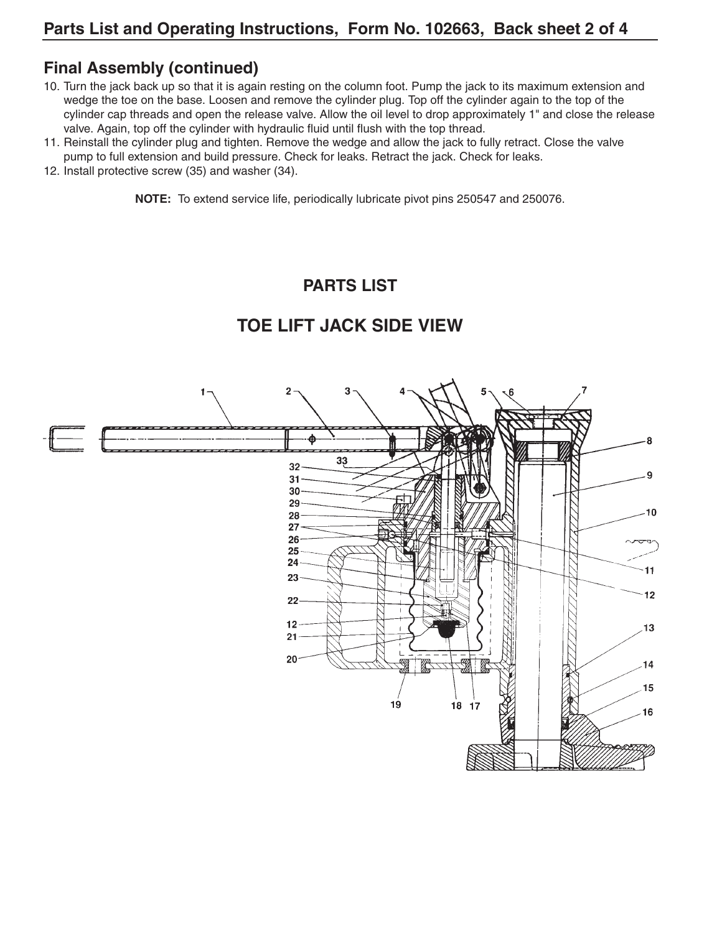### **Final Assembly (continued)**

- 10. Turn the jack back up so that it is again resting on the column foot. Pump the jack to its maximum extension and wedge the toe on the base. Loosen and remove the cylinder plug. Top off the cylinder again to the top of the cylinder cap threads and open the release valve. Allow the oil level to drop approximately 1" and close the release valve. Again, top off the cylinder with hydraulic fluid until flush with the top thread.
- 11. Reinstall the cylinder plug and tighten. Remove the wedge and allow the jack to fully retract. Close the valve pump to full extension and build pressure. Check for leaks. Retract the jack. Check for leaks.
- 12. Install protective screw (35) and washer (34).

**NOTE:** To extend service life, periodically lubricate pivot pins 250547 and 250076.

## **PARTS LIST**

#### $\mathbf{2}$ 3 33 32  $31$  $30 -$ 29 10  $28<sup>2</sup>$ 27  $26<sup>°</sup>$ 25 24  $11$ 23  $12$ 22  $12<sub>2</sub>$ 13 21  $20<sub>1</sub>$ 14 15 19 18 17 16

# **TOE LIFT JACK SIDE VIEW**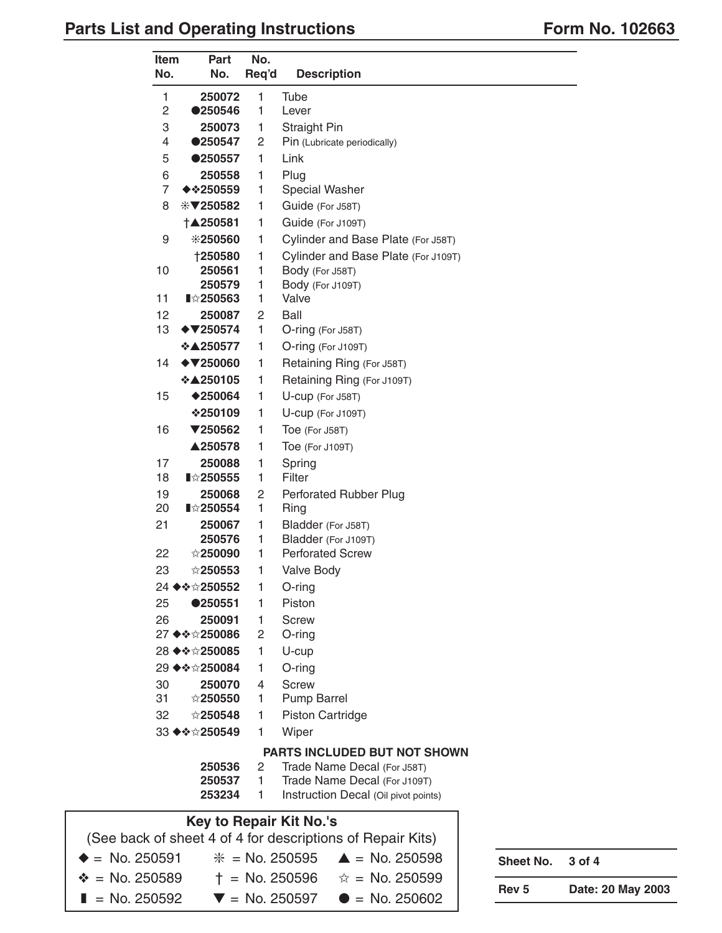## Parts List and Operating Instructions **Form No. 102663**

| Item<br>No.             | Part<br>No.                                                         | No.<br>Req'd | <b>Description</b>                   |
|-------------------------|---------------------------------------------------------------------|--------------|--------------------------------------|
| 1                       | 250072                                                              | 1            | Tube                                 |
| 2                       | ●250546                                                             | 1            | Lever                                |
| 3                       | 250073                                                              | 1            | Straight Pin                         |
| 4                       | ●250547                                                             | 2            | Pin (Lubricate periodically)         |
| 5                       | ●250557                                                             | 1            | Link                                 |
| 6                       | 250558                                                              | 1            | Plug                                 |
| $\overline{7}$          | <b>◆ ⊹250559</b>                                                    | 1            | <b>Special Washer</b>                |
| 8                       | $*$ ₹250582                                                         | 1            | Guide (For J58T)                     |
|                         | †▲250581                                                            | 1            | Guide (For J109T)                    |
| 9                       | *250560                                                             | 1            | Cylinder and Base Plate (For J58T)   |
|                         | †250580                                                             | 1            | Cylinder and Base Plate (For J109T)  |
| 10                      | 250561                                                              | 1            | Body (For J58T)                      |
|                         | 250579                                                              | 1            | Body (For J109T)                     |
| 11                      | <b>∎☆250563</b>                                                     | 1            | Valve                                |
| 12<br>13                | 250087<br>$\blacklozenge$ 7250574                                   | 2<br>1       | Ball<br>O-ring (For J58T)            |
|                         | ❖▲250577                                                            | 1            | O-ring (For J109T)                   |
| 14                      | $\blacklozenge$ 7250060                                             | 1            |                                      |
|                         | ❖▲250105                                                            |              | Retaining Ring (For J58T)            |
|                         |                                                                     | 1            | Retaining Ring (For J109T)           |
| 15                      | $*250064$                                                           | 1            | U-cup (For J58T)                     |
|                         | ❖250109                                                             | 1            | U-cup (For J109T)                    |
| 16                      | ▼250562                                                             | 1            | Toe (For J58T)                       |
|                         | ▲250578                                                             | 1            | Toe (For J109T)                      |
| 17<br>18                | 250088<br><b>∎☆250555</b>                                           | 1<br>1       | Spring<br>Filter                     |
| 19                      | 250068                                                              | 2            | <b>Perforated Rubber Plug</b>        |
| 20                      | <b>∎☆250554</b>                                                     | 1            | Ring                                 |
| 21                      | 250067                                                              | 1            | Bladder (For J58T)                   |
|                         | 250576                                                              | 1            | Bladder (For J109T)                  |
| 22                      | $\stackrel{\scriptstyle\leftrightarrow}{\scriptstyle\times}$ 250090 | 1            | <b>Perforated Screw</b>              |
| 23                      | ☆250553                                                             | 1            | <b>Valve Body</b>                    |
|                         | 24 ♦❖☆250552                                                        | 1            | O-ring                               |
| 25                      | ●250551                                                             | 1            | Piston                               |
| 26                      | 250091                                                              | 1            | Screw                                |
|                         | 27 ♦ ❖☆250086                                                       | 2            | O-ring                               |
|                         | 28 ♦❖☆250085                                                        | 1            | U-cup                                |
|                         | 29 ◆ ❖☆250084                                                       | 1            | $O$ -ring                            |
| 30                      | 250070                                                              | 4            | <b>Screw</b>                         |
| 31                      | ☆250550                                                             | 1            | Pump Barrel                          |
| 32                      | ☆250548                                                             | 1            | <b>Piston Cartridge</b>              |
|                         | 33 ♦ ♦ ☆ 250549                                                     | 1            | Wiper                                |
|                         |                                                                     |              | PARTS INCLUDED BUT NOT SHOWN         |
|                         | 250536                                                              | 2            | Trade Name Decal (For J58T)          |
|                         | 250537                                                              | 1            | Trade Name Decal (For J109T)         |
|                         | 253234                                                              | 1            | Instruction Decal (Oil pivot points) |
| Kay to Rangir Kit No 's |                                                                     |              |                                      |

**Key to Repair Kit No.'s** (See back of sheet 4 of 4 for descriptions of Repair Kits)  $\triangle$  = No. 250591  $\%$  = No. 250595  $\triangle$  = No. 250598  $\text{*} =$  No. 250589  $+ =$  No. 250596  $\text{*} =$  No. 250599  $\blacksquare$  = No. 250592  $\blacktriangledown$  = No. 250597  $\blacktriangledown$  = No. 250602

**Sheet No. 3 of 4**

**Rev 5 Date: 20 May 2003**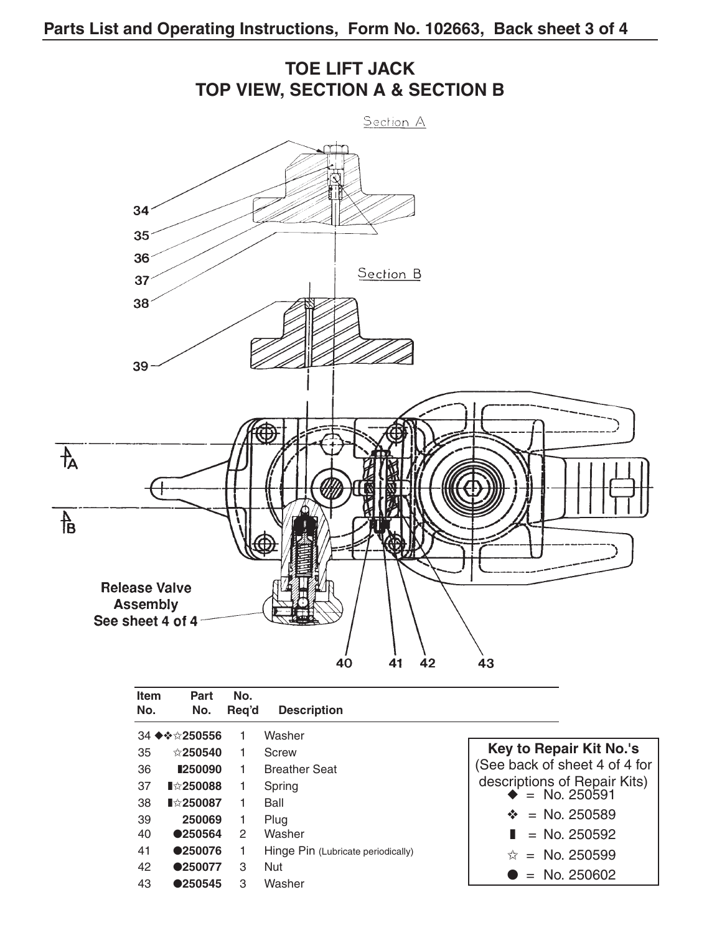

| Item<br>No. | Part<br>No.     | No.<br>Reg'd | <b>Description</b>                 |                                 |
|-------------|-----------------|--------------|------------------------------------|---------------------------------|
|             | 34 ♦❖☆250556    |              | Washer                             |                                 |
| 35          | $\&$ 250540     | 1            | Screw                              | Key to Repair Kit No.'s         |
| 36          | ■250090         |              | <b>Breather Seat</b>               | See back of sheet 4 of 4 for    |
| 37          | <b>∎☆250088</b> |              | Spring                             | descriptions of Repair Kits)    |
| 38          | <b>∎☆250087</b> |              | Ball                               | $\bullet$ = No. 250591          |
| 39          | 250069          |              | Plug                               | $\hat{\mathbf{v}} =$ No. 250589 |
| 40          | ●250564         | 2            | Washer                             | $\blacksquare$ = No. 250592     |
| 41          | ●250076         |              | Hinge Pin (Lubricate periodically) | $\hat{x}$ = No. 250599          |
| 42          | ●250077         | 3            | <b>Nut</b>                         |                                 |
| 43          | ●250545         | 3            | Washer                             | $=$ No. 250602                  |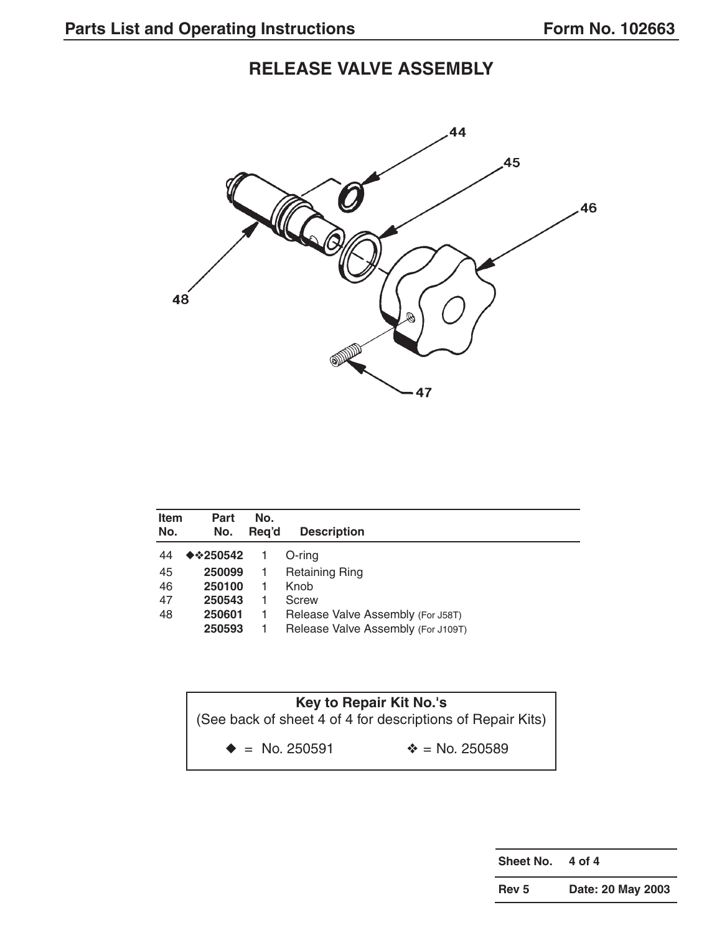# **RELEASE VALVE ASSEMBLY**



| Item<br>No. | Part<br>No.                       | No.<br>Reg'd | <b>Description</b>                 |
|-------------|-----------------------------------|--------------|------------------------------------|
| 44          | <b>◆ <math>\div</math> 250542</b> |              | O-ring                             |
| 45          | 250099                            |              | <b>Retaining Ring</b>              |
| 46          | 250100                            |              | Knob                               |
| 47          | 250543                            |              | Screw                              |
| 48          | 250601                            |              | Release Valve Assembly (For J58T)  |
|             | 250593                            |              | Release Valve Assembly (For J109T) |



**Sheet No. 4 of 4**

**Rev 5 Date: 20 May 2003**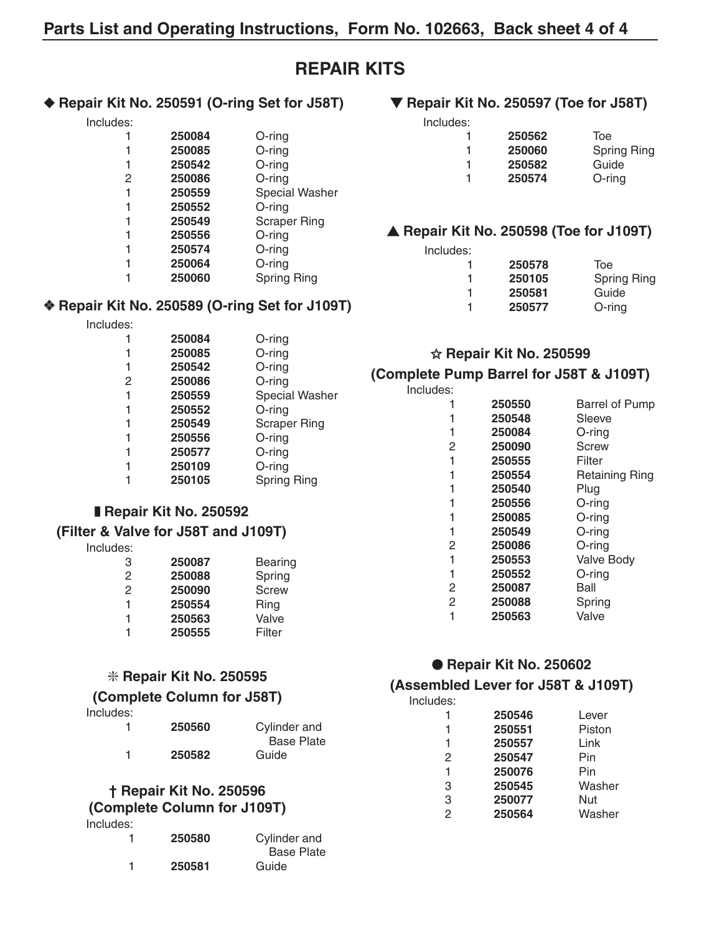## **REPAIR KITS**

#### ◆ **Repair Kit No. 250591 (O-ring Set for J58T)**

Includes:

| 1              | 250084 | O-ring              |
|----------------|--------|---------------------|
| 1              | 250085 | $O$ -ring           |
| 1              | 250542 | O-ring              |
| $\overline{2}$ | 250086 | $O$ -ring           |
| 1              | 250559 | Special Washer      |
| 1              | 250552 | O-ring              |
|                | 250549 | <b>Scraper Ring</b> |
| 1              | 250556 | $O$ -ring           |
|                | 250574 | $O$ -ring           |
| 1              | 250064 | O-ring              |
|                | 250060 | <b>Spring Ring</b>  |
|                |        |                     |

#### ❖ **Repair Kit No. 250589 (O-ring Set for J109T)**

Includes:

| 250084 | $O$ -ring             |
|--------|-----------------------|
| 250085 | O-ring                |
| 250542 | $O$ -ring             |
| 250086 | $O$ -ring             |
| 250559 | <b>Special Washer</b> |
| 250552 | O-ring                |
| 250549 | <b>Scraper Ring</b>   |
| 250556 | O-ring                |
| 250577 | $O$ -ring             |
| 250109 | $O$ -ring             |
| 250105 | <b>Spring Ring</b>    |
|        |                       |

### ❚ **Repair Kit No. 250592**

### **(Filter & Valve for J58T and J109T)**

Includes:

| 250087 | <b>Bearing</b> |
|--------|----------------|
| 250088 | Spring         |
| 250090 | <b>Screw</b>   |
| 250554 | Ring           |
| 250563 | Valve          |
| 250555 | Filter         |
|        |                |

### ❇ **Repair Kit No. 250595**

### **(Complete Column for J58T)**

Includes:

| 1 | 250560 | Cylinder and<br><b>Base Plate</b> |
|---|--------|-----------------------------------|
| 1 | 250582 | Guide                             |

#### **† Repair Kit No. 250596 (Complete Column for J109T)**

Includes:

| 1 | 250580 | Cylinder and      |
|---|--------|-------------------|
|   |        | <b>Base Plate</b> |
| 1 | 250581 | Guide             |

### ▼ **Repair Kit No. 250597 (Toe for J58T)**

| Includes: |        |             |
|-----------|--------|-------------|
|           | 250562 | Toe         |
| 1         | 250060 | Spring Ring |
| 1         | 250582 | Guide       |
| 1         | 250574 | $O$ -ring   |

### ▲ **Repair Kit No. 250598 (Toe for J109T)**

| Includes: |        |             |
|-----------|--------|-------------|
|           | 250578 | Toe         |
| 1         | 250105 | Spring Ring |
| 1         | 250581 | Guide       |
| 1         | 250577 | $O$ -ring   |

#### ✩ **Repair Kit No. 250599**

#### **(Complete Pump Barrel for J58T & J109T)**

| Includes:      |        |                       |
|----------------|--------|-----------------------|
|                | 250550 | <b>Barrel of Pump</b> |
|                | 250548 | Sleeve                |
| 1              | 250084 | O-ring                |
| 2              | 250090 | Screw                 |
| 1              | 250555 | Filter                |
| 1              | 250554 | Retaining Ring        |
|                | 250540 | Plug                  |
|                | 250556 | O-ring                |
|                | 250085 | O-ring                |
|                | 250549 | O-ring                |
| 2              | 250086 | O-ring                |
| 1              | 250553 | Valve Body            |
| 1              | 250552 | O-ring                |
| 2              | 250087 | Ball                  |
| $\overline{2}$ | 250088 | Spring                |
|                | 250563 | Valve                 |
|                |        |                       |

### ● **Repair Kit No. 250602**

### **(Assembled Lever for J58T & J109T)**

| 250546 | Lever  |
|--------|--------|
| 250551 | Piston |
| 250557 | Link   |
| 250547 | Pin    |
| 250076 | Pin    |
| 250545 | Washer |
| 250077 | Nut    |
| 250564 | Washer |
|        |        |